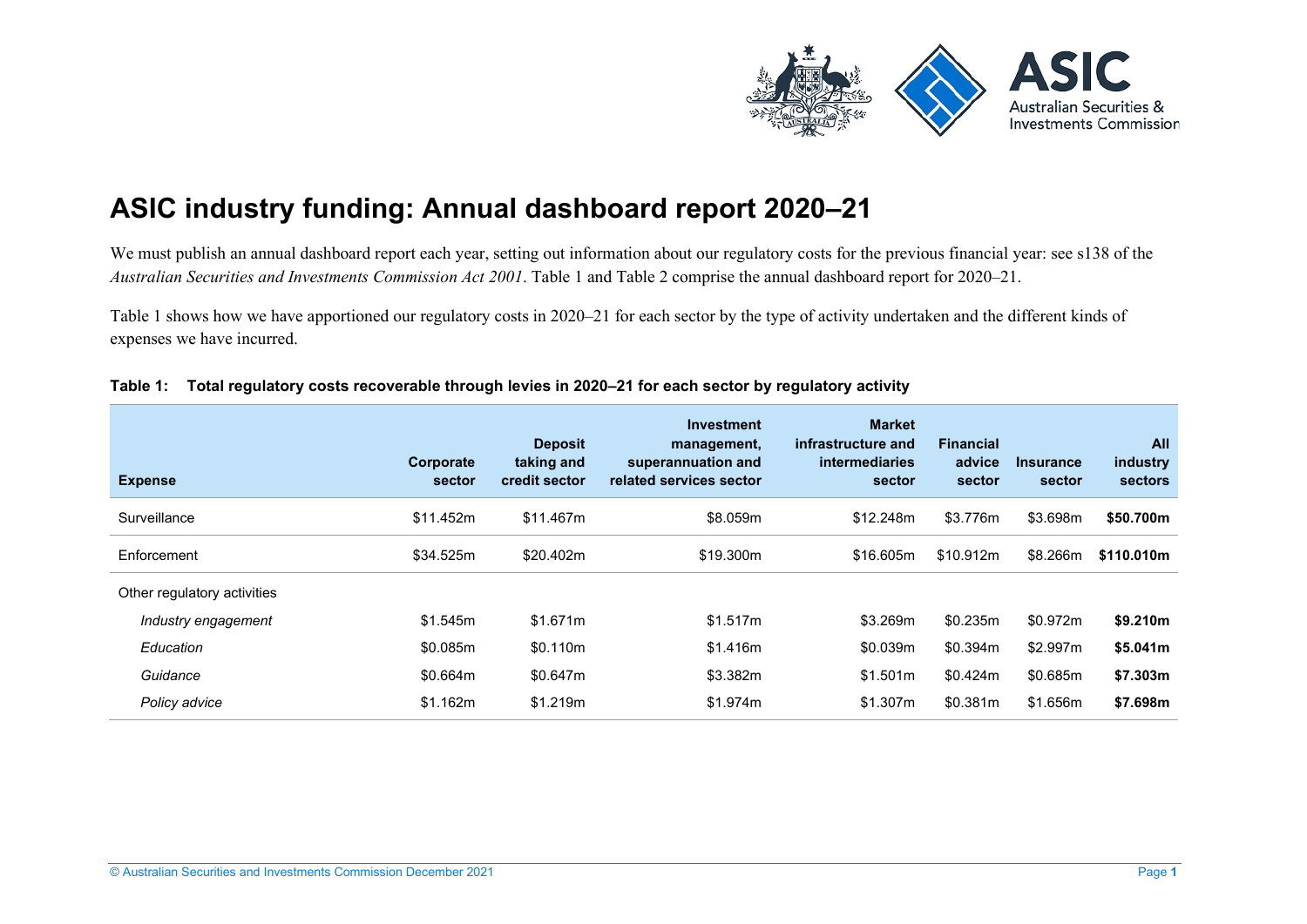

# **ASIC industry funding: Annual dashboard report 2020–21**

We must publish an annual dashboard report each year, setting out information about our regulatory costs for the previous financial year: see s138 of the *Australian Securities and Investments Commission Act 2001*. [Table 1](#page-0-0) and [Table 2](#page-2-0) comprise the annual dashboard report for 2020–21.

[Table 1](#page-0-0) shows how we have apportioned our regulatory costs in 2020–21 for each sector by the type of activity undertaken and the different kinds of expenses we have incurred.

| <b>Expense</b>              | Corporate<br>sector | <b>Deposit</b><br>taking and<br>credit sector | <b>Investment</b><br>management,<br>superannuation and<br>related services sector | <b>Market</b><br>infrastructure and<br>intermediaries<br>sector | <b>Financial</b><br>advice<br>sector | <b>Insurance</b><br>sector | All<br>industry<br><b>sectors</b> |
|-----------------------------|---------------------|-----------------------------------------------|-----------------------------------------------------------------------------------|-----------------------------------------------------------------|--------------------------------------|----------------------------|-----------------------------------|
| Surveillance                | \$11.452m           | \$11.467m                                     | \$8.059m                                                                          | \$12,248m                                                       | \$3.776m                             | \$3.698m                   | \$50.700m                         |
| Enforcement                 | \$34.525m           | \$20.402m                                     | \$19.300m                                                                         | \$16,605m                                                       | \$10.912m                            | \$8.266m                   | \$110.010m                        |
| Other regulatory activities |                     |                                               |                                                                                   |                                                                 |                                      |                            |                                   |
| Industry engagement         | \$1.545m            | \$1.671m                                      | \$1.517m                                                                          | \$3.269m                                                        | \$0.235m                             | \$0.972m                   | \$9.210m                          |
| Education                   | \$0.085m            | \$0.110m                                      | \$1.416m                                                                          | \$0.039m                                                        | \$0.394m                             | \$2.997m                   | \$5.041m                          |
| Guidance                    | \$0.664m            | \$0.647m                                      | \$3.382m                                                                          | \$1.501m                                                        | \$0.424m                             | \$0.685m                   | \$7.303m                          |
| Policy advice               | \$1.162m            | \$1.219m                                      | \$1.974m                                                                          | \$1.307m                                                        | \$0.381m                             | \$1.656m                   | \$7.698m                          |

#### <span id="page-0-0"></span>**Table 1: Total regulatory costs recoverable through levies in 2020–21 for each sector by regulatory activity**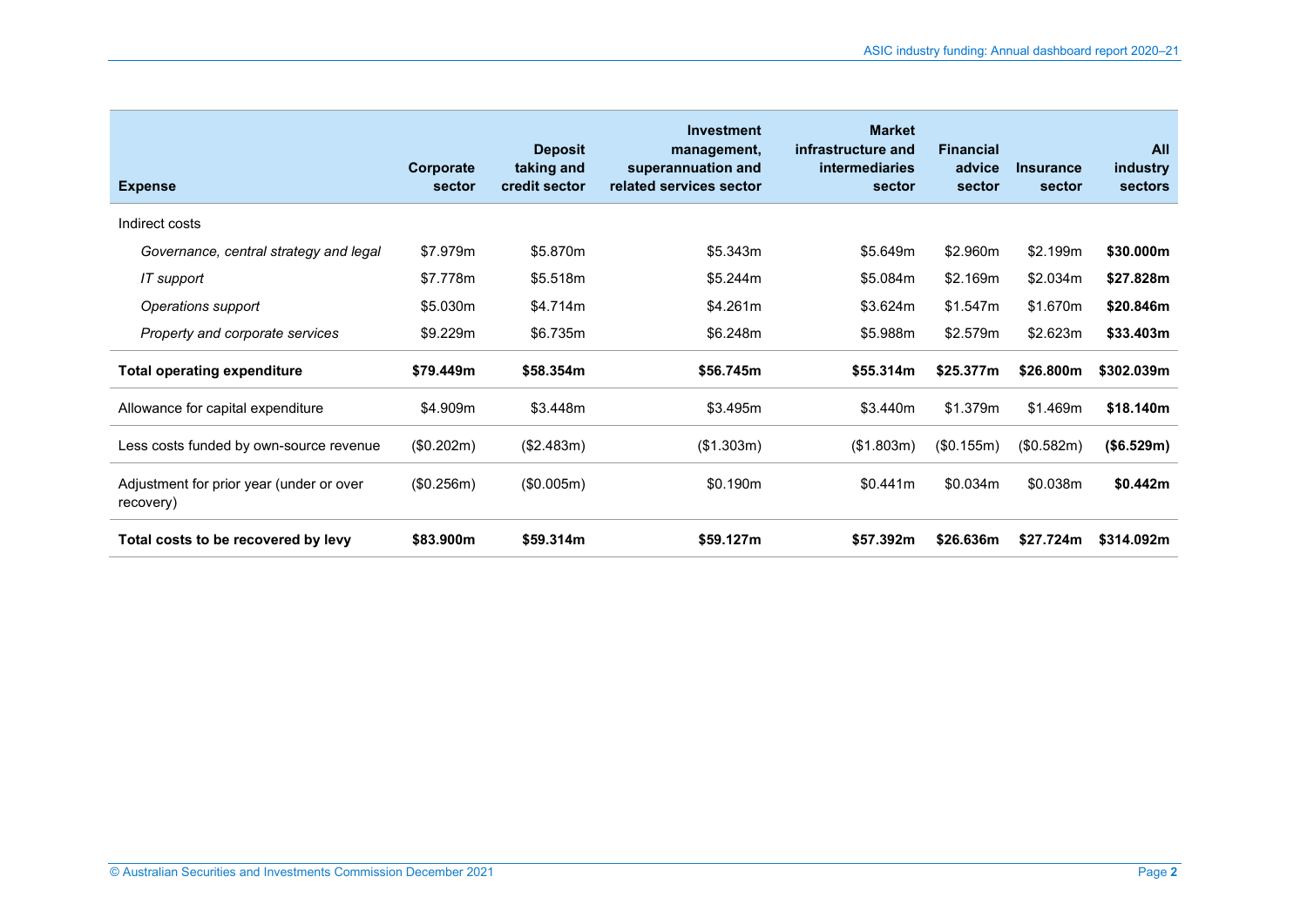| <b>Expense</b>                                        | Corporate<br>sector | <b>Deposit</b><br>taking and<br>credit sector | <b>Investment</b><br>management,<br>superannuation and<br>related services sector | <b>Market</b><br>infrastructure and<br><b>intermediaries</b><br>sector | <b>Financial</b><br>advice<br>sector | <b>Insurance</b><br>sector | <b>All</b><br>industry<br><b>sectors</b> |
|-------------------------------------------------------|---------------------|-----------------------------------------------|-----------------------------------------------------------------------------------|------------------------------------------------------------------------|--------------------------------------|----------------------------|------------------------------------------|
| Indirect costs                                        |                     |                                               |                                                                                   |                                                                        |                                      |                            |                                          |
| Governance, central strategy and legal                | \$7.979m            | \$5.870m                                      | \$5.343m                                                                          | \$5.649m                                                               | \$2.960m                             | \$2.199m                   | \$30.000m                                |
| IT support                                            | \$7.778m            | \$5.518m                                      | \$5.244m                                                                          | \$5.084m                                                               | \$2.169m                             | \$2.034m                   | \$27.828m                                |
| Operations support                                    | \$5.030m            | \$4.714m                                      | \$4.261m                                                                          | \$3.624m                                                               | \$1.547m                             | \$1.670m                   | \$20.846m                                |
| Property and corporate services                       | \$9.229m            | \$6.735m                                      | \$6.248m                                                                          | \$5.988m                                                               | \$2.579m                             | \$2.623m                   | \$33.403m                                |
| <b>Total operating expenditure</b>                    | \$79.449m           | \$58.354m                                     | \$56.745m                                                                         | \$55.314m                                                              | \$25,377m                            | \$26,800m                  | \$302.039m                               |
| Allowance for capital expenditure                     | \$4.909m            | \$3.448m                                      | \$3.495m                                                                          | \$3.440m                                                               | \$1.379m                             | \$1.469m                   | \$18.140m                                |
| Less costs funded by own-source revenue               | (\$0.202m)          | (\$2.483m)                                    | (\$1.303m)                                                                        | (\$1.803m)                                                             | (\$0.155m)                           | (\$0.582m)                 | (\$6.529m)                               |
| Adjustment for prior year (under or over<br>recovery) | (\$0.256m)          | (\$0.005m)                                    | \$0.190m                                                                          | \$0.441m                                                               | \$0.034m                             | \$0.038m                   | \$0.442m                                 |
| Total costs to be recovered by levy                   | \$83.900m           | \$59.314m                                     | \$59.127m                                                                         | \$57.392m                                                              | \$26,636m                            | \$27.724m                  | \$314.092m                               |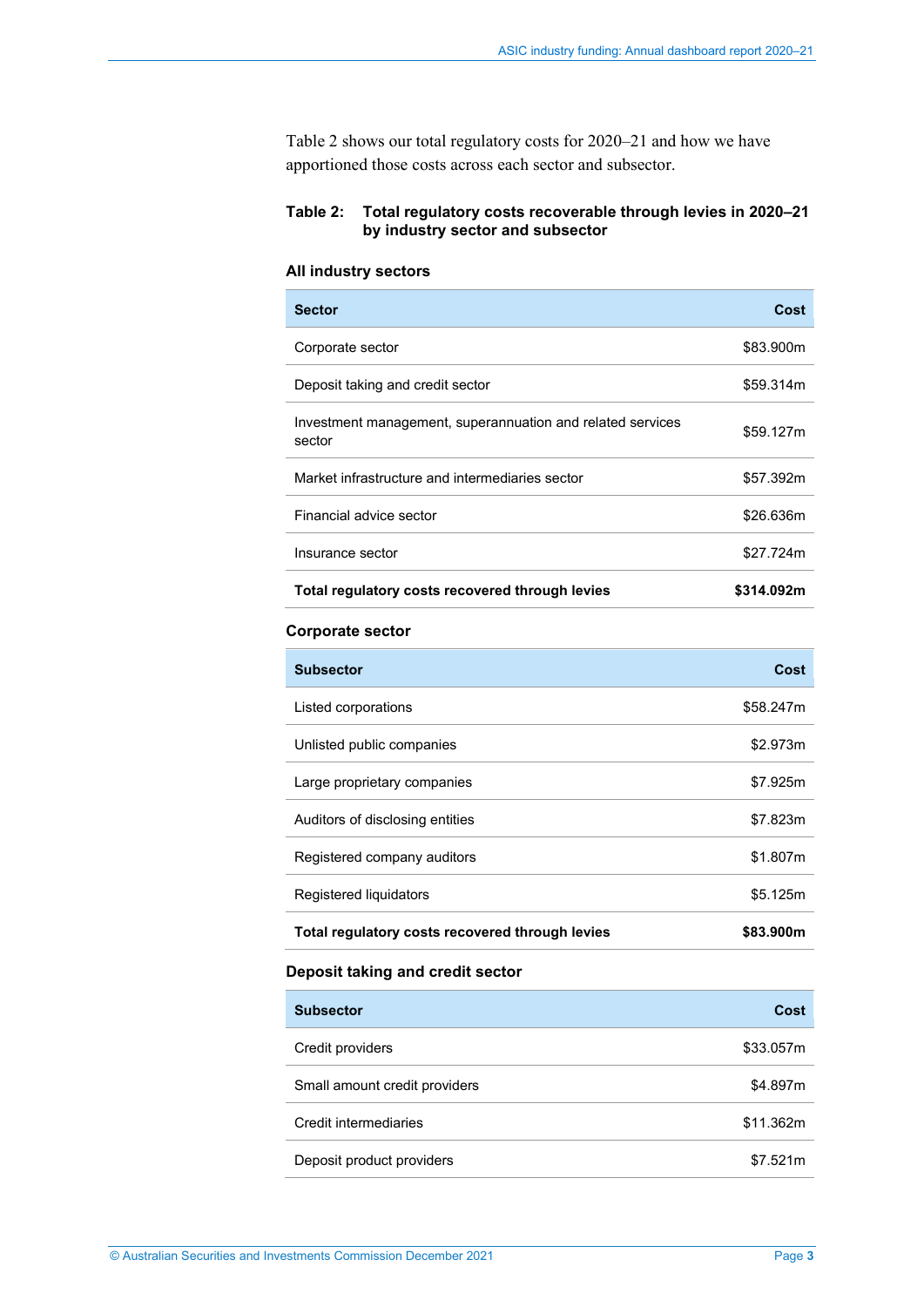<span id="page-2-0"></span>[Table 2](#page-2-1) shows our total regulatory costs for 2020–21 and how we have apportioned those costs across each sector and subsector.

# <span id="page-2-1"></span>**Table 2: Total regulatory costs recoverable through levies in 2020–21 by industry sector and subsector**

## **All industry sectors**

| <b>Sector</b>                                                        | Cost       |
|----------------------------------------------------------------------|------------|
| Corporate sector                                                     | \$83.900m  |
| Deposit taking and credit sector                                     | \$59.314m  |
| Investment management, superannuation and related services<br>sector | \$59.127m  |
| Market infrastructure and intermediaries sector                      | \$57.392m  |
| Financial advice sector                                              | \$26.636m  |
| Insurance sector                                                     | \$27.724m  |
| Total regulatory costs recovered through levies                      | \$314.092m |

#### **Corporate sector**

| <b>Subsector</b>                                | Cost      |
|-------------------------------------------------|-----------|
| Listed corporations                             | \$58.247m |
| Unlisted public companies                       | \$2.973m  |
| Large proprietary companies                     | \$7.925m  |
| Auditors of disclosing entities                 | \$7.823m  |
| Registered company auditors                     | \$1.807m  |
| Registered liquidators                          | \$5.125m  |
| Total regulatory costs recovered through levies | \$83.900m |

# **Deposit taking and credit sector**

| <b>Subsector</b>              | Cost      |
|-------------------------------|-----------|
| Credit providers              | \$33.057m |
| Small amount credit providers | \$4.897m  |
| Credit intermediaries         | \$11.362m |
| Deposit product providers     | \$7.521m  |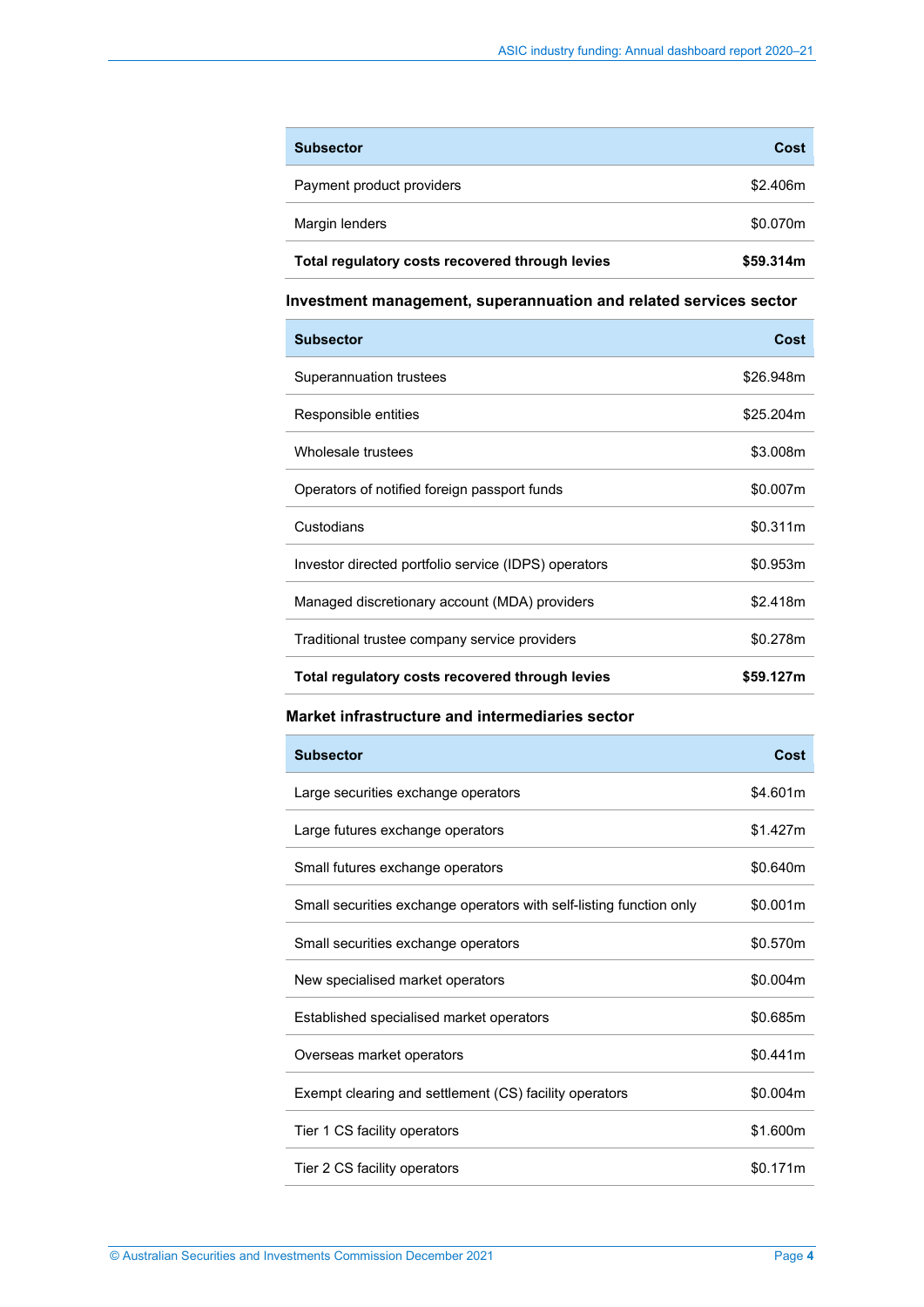| <b>Subsector</b>                                | Cost      |
|-------------------------------------------------|-----------|
| Payment product providers                       | \$2.406m  |
| Margin lenders                                  | \$0.070m  |
| Total regulatory costs recovered through levies | \$59.314m |

## **Investment management, superannuation and related services sector**

| <b>Subsector</b>                                     | Cost      |
|------------------------------------------------------|-----------|
| Superannuation trustees                              | \$26.948m |
| Responsible entities                                 | \$25.204m |
| Wholesale trustees                                   | \$3.008m  |
| Operators of notified foreign passport funds         | \$0.007m  |
| Custodians                                           | \$0.311m  |
| Investor directed portfolio service (IDPS) operators | \$0.953m  |
| Managed discretionary account (MDA) providers        | \$2.418m  |
| Traditional trustee company service providers        | \$0.278m  |
| Total regulatory costs recovered through levies      | \$59.127m |

## **Market infrastructure and intermediaries sector**

| <b>Subsector</b>                                                    | Cost     |
|---------------------------------------------------------------------|----------|
| Large securities exchange operators                                 | \$4.601m |
| Large futures exchange operators                                    | \$1.427m |
| Small futures exchange operators                                    | \$0.640m |
| Small securities exchange operators with self-listing function only | \$0.001m |
| Small securities exchange operators                                 | \$0.570m |
| New specialised market operators                                    | \$0.004m |
| Established specialised market operators                            | \$0.685m |
| Overseas market operators                                           | \$0.441m |
| Exempt clearing and settlement (CS) facility operators              | \$0.004m |
| Tier 1 CS facility operators                                        | \$1.600m |
| Tier 2 CS facility operators                                        | \$0.171m |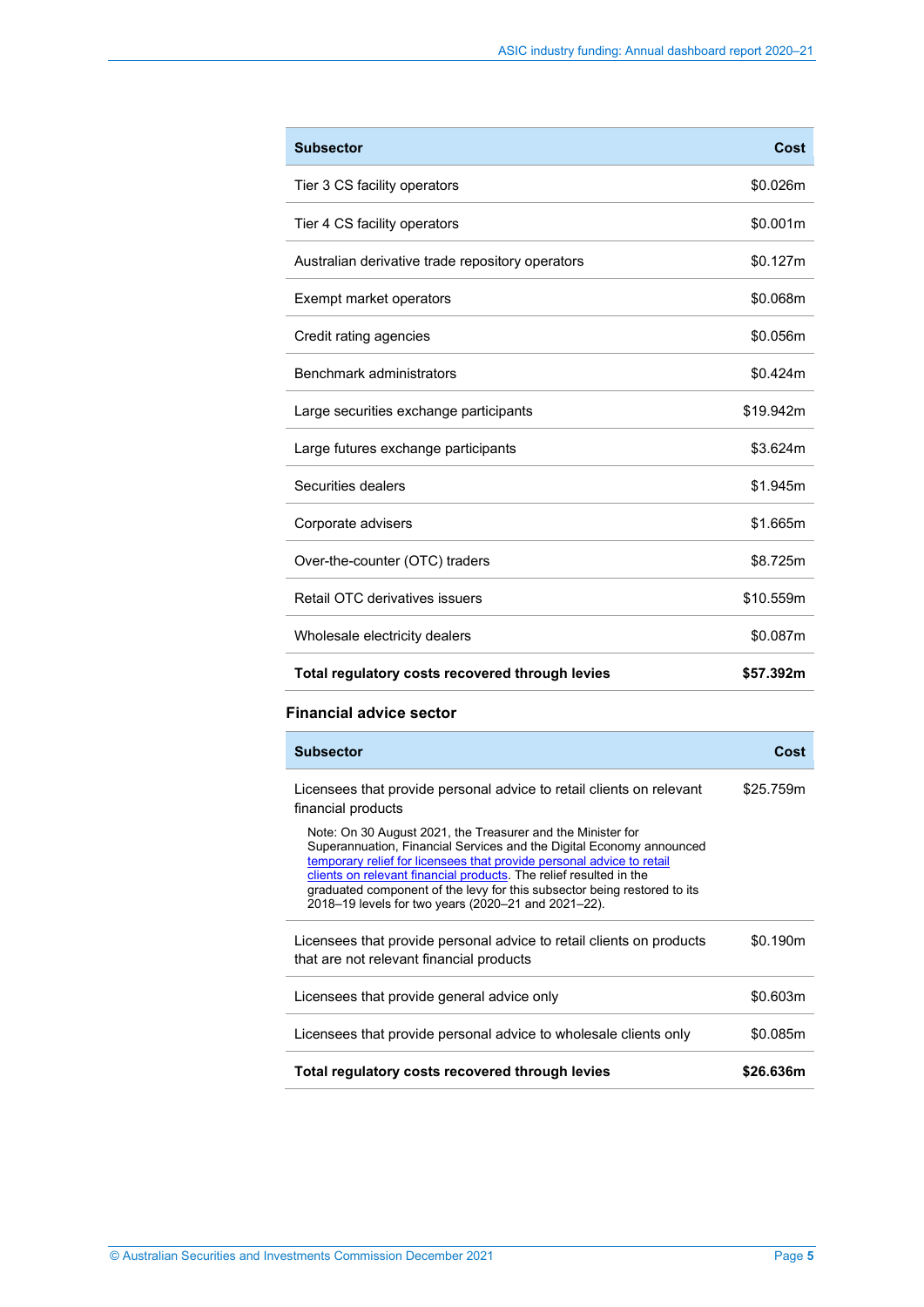| <b>Subsector</b>                                 | Cost      |
|--------------------------------------------------|-----------|
| Tier 3 CS facility operators                     | \$0.026m  |
| Tier 4 CS facility operators                     | \$0.001m  |
| Australian derivative trade repository operators | \$0.127m  |
| Exempt market operators                          | \$0.068m  |
| Credit rating agencies                           | \$0.056m  |
| Benchmark administrators                         | \$0.424m  |
| Large securities exchange participants           | \$19.942m |
| Large futures exchange participants              | \$3.624m  |
| Securities dealers                               | \$1.945m  |
| Corporate advisers                               | \$1.665m  |
| Over-the-counter (OTC) traders                   | \$8.725m  |
| Retail OTC derivatives issuers                   | \$10.559m |
| Wholesale electricity dealers                    | \$0.087m  |
| Total regulatory costs recovered through levies  | \$57.392m |

## **Financial advice sector**

| <b>Subsector</b>                                                                                                                                                                                                                                                                                                                                                                                                      | Cost      |
|-----------------------------------------------------------------------------------------------------------------------------------------------------------------------------------------------------------------------------------------------------------------------------------------------------------------------------------------------------------------------------------------------------------------------|-----------|
| Licensees that provide personal advice to retail clients on relevant<br>financial products                                                                                                                                                                                                                                                                                                                            | \$25.759m |
| Note: On 30 August 2021, the Treasurer and the Minister for<br>Superannuation, Financial Services and the Digital Economy announced<br>temporary relief for licensees that provide personal advice to retail<br>clients on relevant financial products. The relief resulted in the<br>graduated component of the levy for this subsector being restored to its<br>2018-19 levels for two years (2020-21 and 2021-22). |           |
| Licensees that provide personal advice to retail clients on products<br>that are not relevant financial products                                                                                                                                                                                                                                                                                                      | \$0.190m  |
| Licensees that provide general advice only                                                                                                                                                                                                                                                                                                                                                                            | \$0.603m  |
| Licensees that provide personal advice to wholesale clients only                                                                                                                                                                                                                                                                                                                                                      | \$0.085m  |
| Total regulatory costs recovered through levies                                                                                                                                                                                                                                                                                                                                                                       | \$26.636m |